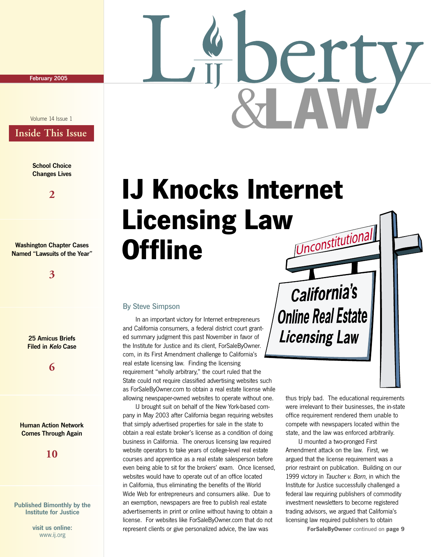February 2005

#### Volume 14 Issue 1

## **Inside This Issue**

**School Choice** Changes Lives

**2**

Washington Chapter Cases Named "Lawsuits of the Year"

**3**

25 Amicus Briefs Filed in Kelo Case

**6**

#### Human Action Network Comes Through Again

**10**

#### Published Bimonthly by the Institute for Justice

visit us online: www.ij.org



#### By Steve Simpson

 In an important victory for Internet entrepreneurs and California consumers, a federal district court granted summary judgment this past November in favor of the Institute for Justice and its client, ForSaleByOwner. com, in its First Amendment challenge to California's real estate licensing law. Finding the licensing requirement "wholly arbitrary," the court ruled that the State could not require classified advertising websites such as ForSaleByOwner.com to obtain a real estate license while allowing newspaper-owned websites to operate without one.

 IJ brought suit on behalf of the New York-based company in May 2003 after California began requiring websites that simply advertised properties for sale in the state to obtain a real estate broker's license as a condition of doing business in California. The onerous licensing law required website operators to take years of college-level real estate courses and apprentice as a real estate salesperson before even being able to sit for the brokers' exam. Once licensed, websites would have to operate out of an office located in California, thus eliminating the benefits of the World Wide Web for entrepreneurs and consumers alike. Due to an exemption, newspapers are free to publish real estate advertisements in print or online without having to obtain a license. For websites like ForSaleByOwner.com that do not represent clients or give personalized advice, the law was

California's **Online Real Estate Licensing Law** 

> thus triply bad. The educational requirements were irrelevant to their businesses, the in-state office requirement rendered them unable to compete with newspapers located within the state, and the law was enforced arbitrarily.

 IJ mounted a two-pronged First Amendment attack on the law. First, we argued that the license requirement was a prior restraint on publication. Building on our 1999 victory in Taucher v. Born, in which the Institute for Justice successfully challenged a federal law requiring publishers of commodity investment newsletters to become registered trading advisors, we argued that California's licensing law required publishers to obtain

**ForSaleByOwner** continued on **page 9**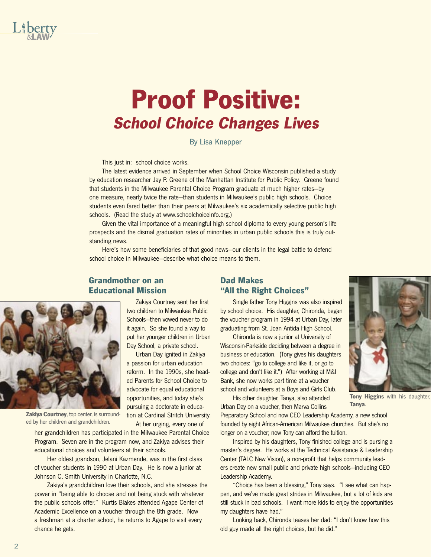

# **Proof Positive: School Choice Changes Lives**

By Lisa Knepper

This just in: school choice works.

 The latest evidence arrived in September when School Choice Wisconsin published a study by education researcher Jay P. Greene of the Manhattan Institute for Public Policy. Greene found that students in the Milwaukee Parental Choice Program graduate at much higher rates—by one measure, nearly twice the rate—than students in Milwaukee's public high schools. Choice students even fared better than their peers at Milwaukee's six academically selective public high schools. (Read the study at www.schoolchoiceinfo.org.)

 Given the vital importance of a meaningful high school diploma to every young person's life prospects and the dismal graduation rates of minorities in urban public schools this is truly outstanding news.

 Here's how some beneficiaries of that good news—our clients in the legal battle to defend school choice in Milwaukee—describe what choice means to them.

> Zakiya Courtney sent her first two children to Milwaukee Public Schools—then vowed never to do it again. So she found a way to put her younger children in Urban Day School, a private school. Urban Day ignited in Zakiya a passion for urban education reform. In the 1990s, she headed Parents for School Choice to advocate for equal educational opportunities, and today she's pursuing a doctorate in education at Cardinal Stritch University. At her urging, every one of

#### **Grandmother on an Educational Mission**



**Zakiya Courtney**, top center, is surrounded by her children and grandchildren.

her grandchildren has participated in the Milwaukee Parental Choice Program. Seven are in the program now, and Zakiya advises their educational choices and volunteers at their schools.

 Her oldest grandson, Jelani Kazmende, was in the first class of voucher students in 1990 at Urban Day. He is now a junior at Johnson C. Smith University in Charlotte, N.C.

 Zakiya's grandchildren love their schools, and she stresses the power in "being able to choose and not being stuck with whatever the public schools offer." Kurtis Blakes attended Agape Center of Academic Excellence on a voucher through the 8th grade. Now a freshman at a charter school, he returns to Agape to visit every chance he gets.

#### **Dad Makes "All the Right Choices"**

 Single father Tony Higgins was also inspired by school choice. His daughter, Chironda, began the voucher program in 1994 at Urban Day, later graduating from St. Joan Antida High School.

 Chironda is now a junior at University of Wisconsin-Parkside deciding between a degree in business or education. (Tony gives his daughters two choices: "go to college and like it, or go to college and don't like it.") After working at M&I Bank, she now works part time at a voucher school and volunteers at a Boys and Girls Club.

 His other daughter, Tanya, also attended Urban Day on a voucher, then Marva Collins

Preparatory School and now CEO Leadership Academy, a new school founded by eight African-American Milwaukee churches. But she's no longer on a voucher; now Tony can afford the tuition.

 Inspired by his daughters, Tony finished college and is pursing a master's degree. He works at the Technical Assistance & Leadership Center (TALC New Vision), a non-profit that helps community leaders create new small public and private high schools—including CEO Leadership Academy.

 "Choice has been a blessing," Tony says. "I see what can happen, and we've made great strides in Milwaukee, but a lot of kids are still stuck in bad schools. I want more kids to enjoy the opportunities my daughters have had."

 Looking back, Chironda teases her dad: "I don't know how this old guy made all the right choices, but he did."



**Tony Higgins** with his daughter, **Tanya**.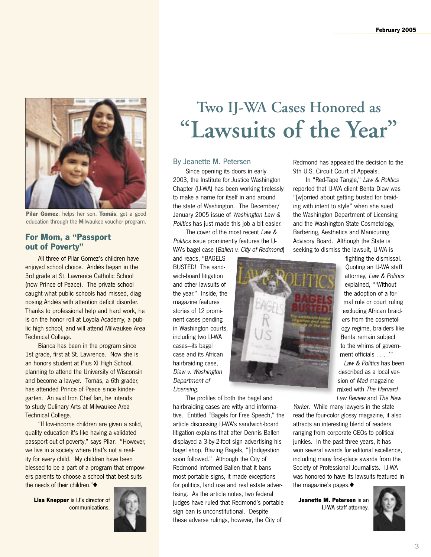

**Pilar Gomez**, helps her son, **Tomás**, get a good education through the Milwaukee voucher program.

#### **For Mom, a "Passport out of Poverty"**

 All three of Pilar Gomez's children have enjoyed school choice. Andrés began in the 3rd grade at St. Lawrence Catholic School (now Prince of Peace). The private school caught what public schools had missed, diagnosing Andrés with attention deficit disorder. Thanks to professional help and hard work, he is on the honor roll at Loyola Academy, a public high school, and will attend Milwaukee Area Technical College.

 Bianca has been in the program since 1st grade, first at St. Lawrence. Now she is an honors student at Pius XI High School, planning to attend the University of Wisconsin and become a lawyer. Tomás, a 6th grader, has attended Prince of Peace since kindergarten. An avid Iron Chef fan, he intends to study Culinary Arts at Milwaukee Area Technical College.

 "If low-income children are given a solid, quality education it's like having a validated passport out of poverty," says Pilar. "However, we live in a society where that's not a reality for every child. My children have been blessed to be a part of a program that empowers parents to choose a school that best suits the needs of their children."◆

**Lisa Knepper** is IJ's director of communications.



## **Two IJ-WA Cases Honored as "Lawsuits of the Year"**

#### By Jeanette M. Petersen

 Since opening its doors in early 2003, the Institute for Justice Washington Chapter (IJ-WA) has been working tirelessly to make a name for itself in and around the state of Washington. The December/ January 2005 issue of Washington Law & Politics has just made this job a bit easier.

 The cover of the most recent Law & Politics issue prominently features the IJ-WA's bagel case (Ballen v. City of Redmond)

and reads, "BAGELS BUSTED! The sandwich-board litigation and other lawsuits of the year." Inside, the magazine features stories of 12 prominent cases pending in Washington courts, including two IJ-WA cases—its bagel case and its African hairbraiding case, Diaw v. Washington Department of Licensing.



 The profiles of both the bagel and hairbraiding cases are witty and informative. Entitled "Bagels for Free Speech," the article discussing IJ-WA's sandwich-board litigation explains that after Dennis Ballen displayed a 3-by-2-foot sign advertising his bagel shop, Blazing Bagels, "[i]ndigestion soon followed." Although the City of Redmond informed Ballen that it bans most portable signs, it made exceptions for politics, land use and real estate advertising. As the article notes, two federal judges have ruled that Redmond's portable sign ban is unconstitutional. Despite these adverse rulings, however, the City of

Redmond has appealed the decision to the 9th U.S. Circuit Court of Appeals.

 In "Red-Tape Tangle," Law & Politics reported that IJ-WA client Benta Diaw was "[w]orried about getting busted for braiding with intent to style" when she sued the Washington Department of Licensing and the Washington State Cosmetology, Barbering, Aesthetics and Manicuring Advisory Board. Although the State is seeking to dismiss the lawsuit, IJ-WA is

> fighting the dismissal. Quoting an IJ-WA staff attorney, Law & Politics explained, "'Without the adoption of a formal rule or court ruling excluding African braiders from the cosmetology regime, braiders like to the whims of govern-

Law & Politics has been described as a local ver-described as a local mixed with The Harvard Law Review and The New

Yorker. While many lawyers in the state read the four-color glossy magazine, it also attracts an interesting blend of readers ranging from corporate CEOs to political junkies. In the past three years, it has won several awards for editorial excellence, including many first-place awards from the Society of Professional Journalists. IJ-WA was honored to have its lawsuits featured in the magazine's pages.◆

**Jeanette M. Petersen** is an IJ-WA staff attorney.



Benta remain subject ment officials . . . .'" sion of Mad magazine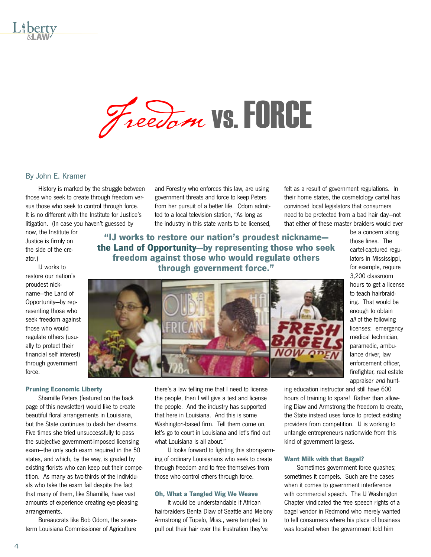



#### By John E. Kramer

 History is marked by the struggle between those who seek to create through freedom versus those who seek to control through force. It is no different with the Institute for Justice's litigation. (In case you haven't guessed by

now, the Institute for Justice is firmly on the side of the creator.)

 IJ works to restore our nation's proudest nickname—the Land of Opportunity—by representing those who seek freedom against those who would regulate others (usually to protect their financial self interest) through government force.

#### **Pruning Economic Liberty**

 Shamille Peters (featured on the back page of this newsletter) would like to create beautiful floral arrangements in Louisiana, but the State continues to dash her dreams. Five times she tried unsuccessfully to pass the subjective government-imposed licensing exam—the only such exam required in the 50 states, and which, by the way, is graded by existing florists who can keep out their competition. As many as two-thirds of the individuals who take the exam fail despite the fact that many of them, like Shamille, have vast amounts of experience creating eye-pleasing arrangements.

 Bureaucrats like Bob Odom, the seventerm Louisiana Commissioner of Agriculture

and Forestry who enforces this law, are using government threats and force to keep Peters from her pursuit of a better life. Odom admitted to a local television station, "As long as the industry in this state wants to be licensed,

**"IJ works to restore our nation's proudest nickname the Land of Opportunity—by representing those who seek freedom against those who would regulate others through government force."**



be a concern along those lines. The cartel-captured regulators in Mississippi, for example, require 3,200 classroom hours to get a license to teach hairbraiding. That would be enough to obtain all of the following licenses: emergency medical technician, paramedic, ambulance driver, law enforcement officer, firefighter, real estate appraiser and hunt-

there's a law telling me that I need to license the people, then I will give a test and license the people. And the industry has supported that here in Louisiana. And this is some Washington-based firm. Tell them come on, let's go to court in Louisiana and let's find out what Louisiana is all about."

 IJ looks forward to fighting this strong-arming of ordinary Louisianans who seek to create through freedom and to free themselves from those who control others through force.

#### **Oh, What a Tangled Wig We Weave**

 It would be understandable if African hairbraiders Benta Diaw of Seattle and Melony Armstrong of Tupelo, Miss., were tempted to pull out their hair over the frustration they've

ing education instructor and still have 600 hours of training to spare! Rather than allowing Diaw and Armstrong the freedom to create, the State instead uses force to protect existing providers from competition. IJ is working to untangle entrepreneurs nationwide from this kind of government largess.

felt as a result of government regulations. In their home states, the cosmetology cartel has convinced local legislators that consumers need to be protected from a bad hair day—not that either of these master braiders would ever

#### **Want Milk with that Bagel?**

 Sometimes government force quashes; sometimes it compels. Such are the cases when it comes to government interference with commercial speech. The IJ Washington Chapter vindicated the free speech rights of a bagel vendor in Redmond who merely wanted to tell consumers where his place of business was located when the government told him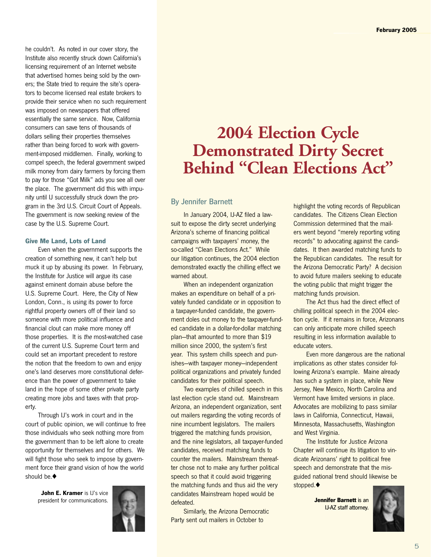he couldn't. As noted in our cover story, the Institute also recently struck down California's licensing requirement of an Internet website that advertised homes being sold by the owners; the State tried to require the site's operators to become licensed real estate brokers to provide their service when no such requirement was imposed on newspapers that offered essentially the same service. Now, California consumers can save tens of thousands of dollars selling their properties themselves rather than being forced to work with government-imposed middlemen. Finally, working to compel speech, the federal government swiped milk money from dairy farmers by forcing them to pay for those "Got Milk" ads you see all over the place. The government did this with impunity until IJ successfully struck down the program in the 3rd U.S. Circuit Court of Appeals. The government is now seeking review of the case by the U.S. Supreme Court.

#### **Give Me Land, Lots of Land**

 Even when the government supports the creation of something new, it can't help but muck it up by abusing its power. In February, the Institute for Justice will argue its case against eminent domain abuse before the U.S. Supreme Court. Here, the City of New London, Conn., is using its power to force rightful property owners off of their land so someone with more political influence and financial clout can make more money off those properties. It is the most-watched case of the current U.S. Supreme Court term and could set an important precedent to restore the notion that the freedom to own and enjoy one's land deserves more constitutional deference than the power of government to take land in the hope of some other private party creating more jobs and taxes with that property.

 Through IJ's work in court and in the court of public opinion, we will continue to free those individuals who seek nothing more from the government than to be left alone to create opportunity for themselves and for others. We will fight those who seek to impose by government force their grand vision of how the world should be.◆

> **John E. Kramer** is IJ's vice president for communications.



## **2004 Election Cycle Demonstrated Dirty Secret Behind "Clean Elections Act"**

#### By Jennifer Barnett

In January 2004, IJ-AZ filed a lawsuit to expose the dirty secret underlying Arizona's scheme of financing political campaigns with taxpayers' money, the so-called "Clean Elections Act." While our litigation continues, the 2004 election demonstrated exactly the chilling effect we warned about.

 When an independent organization makes an expenditure on behalf of a privately funded candidate or in opposition to a taxpayer-funded candidate, the government doles out money to the taxpayer-funded candidate in a dollar-for-dollar matching plan—that amounted to more than \$19 million since 2000, the system's first year. This system chills speech and punishes—with taxpayer money—independent political organizations and privately funded candidates for their political speech.

 Two examples of chilled speech in this last election cycle stand out. Mainstream Arizona, an independent organization, sent out mailers regarding the voting records of nine incumbent legislators. The mailers triggered the matching funds provision, and the nine legislators, all taxpayer-funded candidates, received matching funds to counter the mailers. Mainstream thereafter chose not to make any further political speech so that it could avoid triggering the matching funds and thus aid the very candidates Mainstream hoped would be defeated.

 Similarly, the Arizona Democratic Party sent out mailers in October to

highlight the voting records of Republican candidates. The Citizens Clean Election Commission determined that the mailers went beyond "merely reporting voting records" to advocating against the candidates. It then awarded matching funds to the Republican candidates. The result for the Arizona Democratic Party? A decision to avoid future mailers seeking to educate the voting public that might trigger the matching funds provision.

 The Act thus had the direct effect of chilling political speech in the 2004 election cycle. If it remains in force, Arizonans can only anticipate more chilled speech resulting in less information available to educate voters.

 Even more dangerous are the national implications as other states consider following Arizona's example. Maine already has such a system in place, while New Jersey, New Mexico, North Carolina and Vermont have limited versions in place. Advocates are mobilizing to pass similar laws in California, Connecticut, Hawaii, Minnesota, Massachusetts, Washington and West Virginia.

 The Institute for Justice Arizona Chapter will continue its litigation to vindicate Arizonans' right to political free speech and demonstrate that the misguided national trend should likewise be stopped.◆

> **Jennifer Barnett** is an IJ-AZ staff attorney.

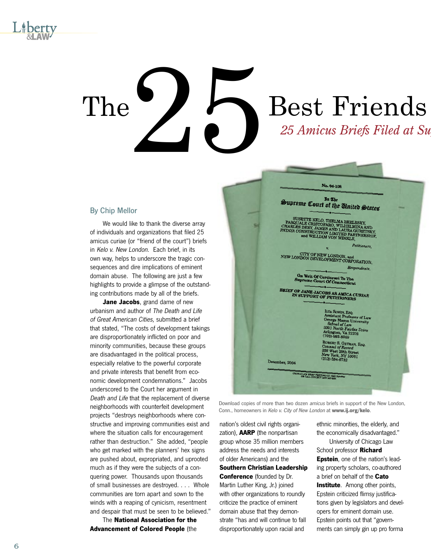

# $\sum_{\text{25 Amicus Briefs Filed at Su}}$ The  $\sum$   $\sum$  Best Friends

#### By Chip Mellor

 We would like to thank the diverse array of individuals and organizations that filed 25 amicus curiae (or "friend of the court") briefs in Kelo v. New London. Each brief, in its own way, helps to underscore the tragic consequences and dire implications of eminent domain abuse. The following are just a few highlights to provide a glimpse of the outstanding contributions made by all of the briefs.

**Jane Jacobs**, grand dame of new urbanism and author of The Death and Life of Great American Cities, submitted a brief that stated, "The costs of development takings are disproportionately inflicted on poor and minority communities, because these groups are disadvantaged in the political process, especially relative to the powerful corporate and private interests that benefit from economic development condemnations." Jacobs underscored to the Court her argument in Death and Life that the replacement of diverse neighborhoods with counterfeit development projects "destroys neighborhoods where constructive and improving communities exist and where the situation calls for encouragement rather than destruction." She added, "people who get marked with the planners' hex signs are pushed about, expropriated, and uprooted much as if they were the subjects of a conquering power. Thousands upon thousands of small businesses are destroyed. . . . Whole communities are torn apart and sown to the winds with a reaping of cynicism, resentment and despair that must be seen to be believed."

 The **National Association for the Advancement of Colored People** (the



Download copies of more than two dozen amicus briefs in support of the New London, Conn., homeowners in Kelo v. City of New London at **www.ij.org/kelo**.

nation's oldest civil rights organization), **AARP** (the nonpartisan group whose 35 million members address the needs and interests of older Americans) and the **Southern Christian Leadership Conference** (founded by Dr. Martin Luther King, Jr.) joined with other organizations to roundly criticize the practice of eminent domain abuse that they demonstrate "has and will continue to fall disproportionately upon racial and

ethnic minorities, the elderly, and the economically disadvantaged."

 University of Chicago Law School professor **Richard Epstein**, one of the nation's leading property scholars, co-authored a brief on behalf of the **Cato Institute**. Among other points, Epstein criticized flimsy justifications given by legislators and developers for eminent domain use. Epstein points out that "governments can simply gin up pro forma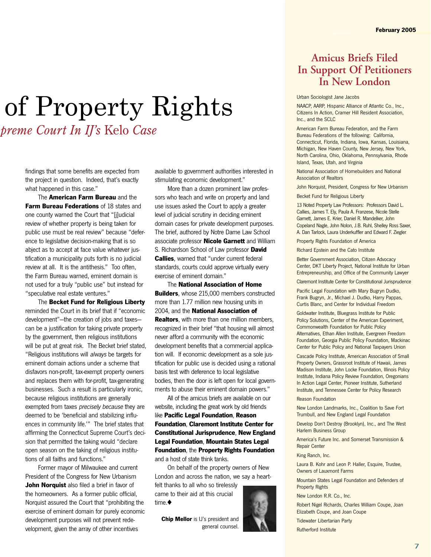# *25 Amicus Briefs Filed at Supreme Court In IJ's* Kelo *Case* of Property Rights

findings that some benefits are expected from the project in question. Indeed, that's exactly what happened in this case."

 The **American Farm Bureau** and the **Farm Bureau Federations** of 18 states and one county warned the Court that "[j]udicial review of whether property is being taken for public use must be real review" because "deference to legislative decision-making that is so abject as to accept at face value whatever justification a municipality puts forth is no judicial review at all. It is the antithesis." Too often, the Farm Bureau warned, eminent domain is not used for a truly "public use" but instead for "speculative real estate ventures."

 The **Becket Fund for Religious Liberty** reminded the Court in its brief that if "economic development"—the creation of jobs and taxes can be a justification for taking private property by the government, then religious institutions will be put at great risk. The Becket brief stated, "Religious institutions will always be targets for eminent domain actions under a scheme that disfavors non-profit, tax-exempt property owners and replaces them with for-profit, tax-generating businesses. Such a result is particularly ironic, because religious institutions are generally exempted from taxes precisely because they are deemed to be 'beneficial and stabilizing influences in community life.'" The brief states that affirming the Connecticut Supreme Court's decision that permitted the taking would "declare open season on the taking of religious institutions of all faiths and functions."

 Former mayor of Milwaukee and current President of the Congress for New Urbanism **John Norquist** also filed a brief in favor of the homeowners. As a former public official, Norquist assured the Court that "prohibiting the exercise of eminent domain for purely economic development purposes will not prevent redevelopment, given the array of other incentives

available to government authorities interested in stimulating economic development."

 More than a dozen prominent law professors who teach and write on property and land use issues asked the Court to apply a greater level of judicial scrutiny in deciding eminent domain cases for private development purposes. The brief, authored by Notre Dame Law School associate professor **Nicole Garnett** and William S. Richardson School of Law professor **David Callies**, warned that "under current federal standards, courts could approve virtually every exercise of eminent domain."

 The **National Association of Home Builders**, whose 215,000 members constructed more than 1.77 million new housing units in 2004, and the **National Association of Realtors**, with more than one million members, recognized in their brief "that housing will almost never afford a community with the economic development benefits that a commercial application will. If economic development as a sole justification for public use is decided using a rational basis test with deference to local legislative bodies, then the door is left open for local governments to abuse their eminent domain powers."

 All of the amicus briefs are available on our website, including the great work by old friends like **Pacific Legal Foundation**, **Reason Foundation**, **Claremont Institute Center for Constitutional Jurisprudence**, **New England Legal Foundation**, **Mountain States Legal Foundation**, the **Property Rights Foundation**  and a host of state think tanks.

 On behalf of the property owners of New London and across the nation, we say a heartfelt thanks to all who so tirelessly

came to their aid at this crucial time.◆

**Chip Mellor** is IJ's president and general counsel.



## **Amicus Briefs Filed In Support Of Petitioners In New London**

#### Urban Sociologist Jane Jacobs

NAACP, AARP, Hispanic Alliance of Atlantic Co., Inc., Citizens In Action, Cramer Hill Resident Association, Inc., and the SCLC

American Farm Bureau Federation, and the Farm Bureau Federations of the following: California, Connecticut, Florida, Indiana, Iowa, Kansas, Louisiana, Michigan, New Haven County, New Jersey, New York, North Carolina, Ohio, Oklahoma, Pennsylvania, Rhode Island, Texas, Utah, and Virginia

National Association of Homebuilders and National Association of Realtors

John Norquist, President, Congress for New Urbanism Becket Fund for Religious Liberty

13 Noted Property Law Professors: Professors David L. Callies, James T. Ely, Paula A. Franzese, Nicole Stelle Garnett, James E. Krier, Daniel R. Mandelker, John Copeland Nagle, John Nolon, J.B. Ruhl, Shelley Ross Saxer, A. Dan Tarlock, Laura Underkuffler and Edward F. Ziegler

Property Rights Foundation of America

Richard Epstein and the Cato Institute

Better Government Association, Citizen Advocacy Center, DKT Liberty Project, National Institute for Urban Entrepreneurship, and Office of the Community Lawyer

Claremont Institute Center for Constitutional Jurisprudence

Pacific Legal Foundation with Mary Bugryn Dudko, Frank Bugryn, Jr., Michael J. Dudko, Harry Pappas, Curtis Blanc, and Center for Individual Freedom

Goldwater Institute, Bluegrass Institute for Public Policy Solutions, Center of the American Experiment, Commonwealth Foundation for Public Policy Alternatives, Ethan Allen Institute, Evergreen Freedom Foundation, Georgia Public Policy Foundation, Mackinac Center for Public Policy and National Taxpayers Union

Cascade Policy Institute, American Association of Small Property Owners, Grassroot Institute of Hawaii, James Madison Institute, John Locke Foundation, Illinois Policy Institute, Indiana Policy Review Foundation, Oregonians In Action Legal Center, Pioneer Institute, Sutherland Institute, and Tennessee Center for Policy Research

#### Reason Foundation

New London Landmarks, Inc., Coalition to Save Fort Trumbull, and New England Legal Foundation

Develop Don't Destroy (Brooklyn), Inc., and The West Harlem Business Group

America's Future Inc. and Somerset Transmission & Repair Center

#### King Ranch, Inc.

Laura B. Kohr and Leon P. Haller, Esquire, Trustee, Owners of Lauxmont Farms

Mountain States Legal Foundation and Defenders of Property Rights

New London R.R. Co., Inc.

Robert Nigel Richards, Charles William Coupe, Joan Elizabeth Coupe, and Joan Coupe Tidewater Libertarian Party

Rutherford Institute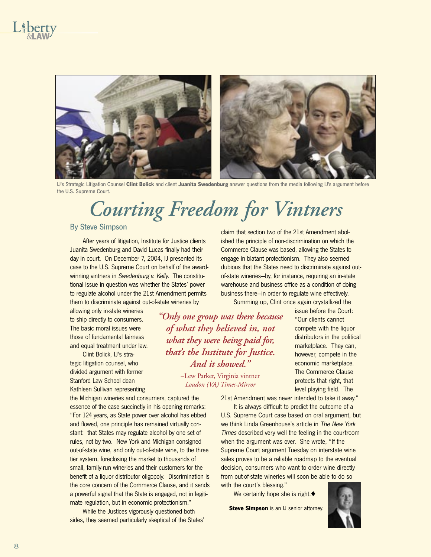

IJ's Strategic Litigation Counsel **Clint Bolick** and client **Juanita Swedenburg** answer questions from the media following IJ's argument before the U.S. Supreme Court.

# *Courting Freedom for Vintners*

#### By Steve Simpson

After years of litigation, Institute for Justice clients Juanita Swedenburg and David Lucas finally had their day in court. On December 7, 2004, IJ presented its case to the U.S. Supreme Court on behalf of the awardwinning vintners in Swedenburg v. Kelly. The constitutional issue in question was whether the States' power to regulate alcohol under the 21st Amendment permits them to discriminate against out-of-state wineries by

allowing only in-state wineries to ship directly to consumers. The basic moral issues were those of fundamental fairness and equal treatment under law.

 Clint Bolick, IJ's strategic litigation counsel, who divided argument with former Stanford Law School dean Kathleen Sullivan representing

the Michigan wineries and consumers, captured the essence of the case succinctly in his opening remarks: "For 124 years, as State power over alcohol has ebbed and flowed, one principle has remained virtually constant: that States may regulate alcohol by one set of rules, not by two. New York and Michigan consigned out-of-state wine, and only out-of-state wine, to the three tier system, foreclosing the market to thousands of small, family-run wineries and their customers for the benefit of a liquor distributor oligopoly. Discrimination is the core concern of the Commerce Clause, and it sends a powerful signal that the State is engaged, not in legitimate regulation, but in economic protectionism."

 While the Justices vigorously questioned both sides, they seemed particularly skeptical of the States' claim that section two of the 21st Amendment abolished the principle of non-discrimination on which the Commerce Clause was based, allowing the States to engage in blatant protectionism. They also seemed dubious that the States need to discriminate against outof-state wineries—by, for instance, requiring an in-state warehouse and business office as a condition of doing business there—in order to regulate wine effectively.

Summing up, Clint once again crystallized the

*"Only one group was there because of what they believed in, not what they were being paid for, that's the Institute for Justice. And it showed."*

> –Lew Parker, Virginia vintner *Loudon (VA) Times-Mirror*

issue before the Court: "Our clients cannot compete with the liquor distributors in the political marketplace. They can, however, compete in the economic marketplace. The Commerce Clause protects that right, that level playing field. The

21st Amendment was never intended to take it away."

 It is always difficult to predict the outcome of a U.S. Supreme Court case based on oral argument, but we think Linda Greenhouse's article in The New York Times described very well the feeling in the courtroom when the argument was over. She wrote, "If the Supreme Court argument Tuesday on interstate wine sales proves to be a reliable roadmap to the eventual decision, consumers who want to order wine directly from out-of-state wineries will soon be able to do so with the court's blessing."

We certainly hope she is right.◆

**Steve Simpson** is an IJ senior attorney.

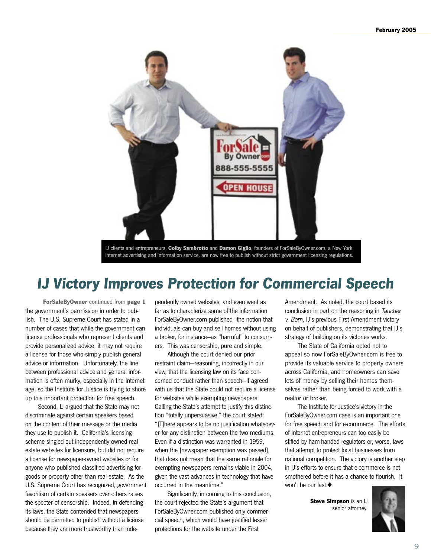

IJ clients and entrepreneurs, **Colby Sambrotto** and **Damon Giglio**, founders of ForSaleByOwner.com, a New York internet advertising and information service, are now free to publish without strict government licensing regulations.

## **IJ Victory Improves Protection for Commercial Speech**

the government's permission in order to publish. The U.S. Supreme Court has stated in a number of cases that while the government can license professionals who represent clients and provide personalized advice, it may not require a license for those who simply publish general advice or information. Unfortunately, the line between professional advice and general information is often murky, especially in the Internet age, so the Institute for Justice is trying to shore up this important protection for free speech.

 Second, IJ argued that the State may not discriminate against certain speakers based on the content of their message or the media they use to publish it. California's licensing scheme singled out independently owned real estate websites for licensure, but did not require a license for newspaper-owned websites or for anyone who published classified advertising for goods or property other than real estate. As the U.S. Supreme Court has recognized, government favoritism of certain speakers over others raises the specter of censorship. Indeed, in defending its laws, the State contended that newspapers should be permitted to publish without a license because they are more trustworthy than inde-

**ForSaleByOwner** continued from **page 1** pendently owned websites, and even went as far as to characterize some of the information ForSaleByOwner.com published—the notion that individuals can buy and sell homes without using a broker, for instance—as "harmful" to consumers. This was censorship, pure and simple.

> Although the court denied our prior restraint claim—reasoning, incorrectly in our view, that the licensing law on its face concerned conduct rather than speech—it agreed with us that the State could not require a license for websites while exempting newspapers. Calling the State's attempt to justify this distinction "totally unpersuasive," the court stated: "[T]here appears to be no justification whatsoever for any distinction between the two mediums. Even if a distinction was warranted in 1959, when the [newspaper exemption was passed], that does not mean that the same rationale for exempting newspapers remains viable in 2004, given the vast advances in technology that have occurred in the meantime."

 Significantly, in coming to this conclusion, the court rejected the State's argument that ForSaleByOwner.com published only commercial speech, which would have justified lesser protections for the website under the First

Amendment. As noted, the court based its conclusion in part on the reasoning in Taucher v. Born, IJ's previous First Amendment victory on behalf of publishers, demonstrating that IJ's strategy of building on its victories works.

 The State of California opted not to appeal so now ForSaleByOwner.com is free to provide its valuable service to property owners across California, and homeowners can save lots of money by selling their homes themselves rather than being forced to work with a realtor or broker.

 The Institute for Justice's victory in the ForSaleByOwner.com case is an important one for free speech and for e-commerce. The efforts of Internet entrepreneurs can too easily be stifled by ham-handed regulators or, worse, laws that attempt to protect local businesses from national competition. The victory is another step in IJ's efforts to ensure that e-commerce is not smothered before it has a chance to flourish. It won't be our last  $\triangle$ 

> **Steve Simpson** is an IJ senior attorney.

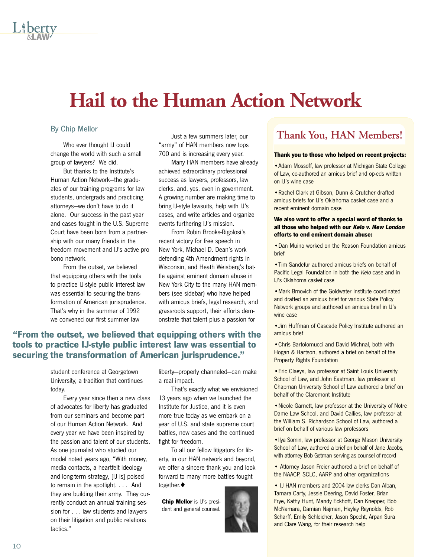# **Hail to the Human Action Network**

#### By Chip Mellor

 Who ever thought IJ could change the world with such a small group of lawyers? We did.

 But thanks to the Institute's Human Action Network—the graduates of our training programs for law students, undergrads and practicing attorneys—we don't have to do it alone. Our success in the past year and cases fought in the U.S. Supreme Court have been born from a partnership with our many friends in the freedom movement and IJ's active pro bono network.

 From the outset, we believed that equipping others with the tools to practice IJ-style public interest law was essential to securing the transformation of American jurisprudence. That's why in the summer of 1992 we convened our first summer law

 Just a few summers later, our "army" of HAN members now tops 700 and is increasing every year.

 Many HAN members have already achieved extraordinary professional success as lawyers, professors, law clerks, and, yes, even in government. A growing number are making time to bring IJ-style lawsuits, help with IJ's cases, and write articles and organize events furthering IJ's mission.

 From Robin Brooks-Rigolosi's recent victory for free speech in New York, Michael D. Dean's work defending 4th Amendment rights in Wisconsin, and Heath Weisberg's battle against eminent domain abuse in New York City to the many HAN members (see sidebar) who have helped with amicus briefs, legal research, and grassroots support, their efforts demonstrate that talent plus a passion for

### **"From the outset, we believed that equipping others with the tools to practice IJ-style public interest law was essential to securing the transformation of American jurisprudence."**

student conference at Georgetown University, a tradition that continues today.

 Every year since then a new class of advocates for liberty has graduated from our seminars and become part of our Human Action Network. And every year we have been inspired by the passion and talent of our students. As one journalist who studied our model noted years ago, "With money, media contacts, a heartfelt ideology and long-term strategy, [IJ is] poised to remain in the spotlight. . . . And they are building their army. They currently conduct an annual training session for . . . law students and lawyers on their litigation and public relations tactics."

liberty—properly channeled—can make a real impact.

 That's exactly what we envisioned 13 years ago when we launched the Institute for Justice, and it is even more true today as we embark on a year of U.S. and state supreme court battles, new cases and the continued fight for freedom.

 To all our fellow litigators for liberty, in our HAN network and beyond, we offer a sincere thank you and look forward to many more battles fought together.◆

**Chip Mellor** is IJ's president and general counsel.

## **Thank You, HAN Members!**

#### **Thank you to those who helped on recent projects:**

•Adam Mossoff, law professor at Michigan State College of Law, co-authored an amicus brief and op-eds written on IJ's wine case

•Rachel Clark at Gibson, Dunn & Crutcher drafted amicus briefs for IJ's Oklahoma casket case and a recent eminent domain case

#### **We also want to offer a special word of thanks to all those who helped with our Kelo v. New London efforts to end eminent domain abuse:**

•Dan Muino worked on the Reason Foundation amicus brief

•Tim Sandefur authored amicus briefs on behalf of Pacific Legal Foundation in both the Kelo case and in IJ's Oklahoma casket case

•Mark Brnovich of the Goldwater Institute coordinated and drafted an amicus brief for various State Policy Network groups and authored an amicus brief in IJ's wine case

•Jim Huffman of Cascade Policy Institute authored an amicus brief

•Chris Bartolomucci and David Michnal, both with Hogan & Hartson, authored a brief on behalf of the Property Rights Foundation

•Eric Claeys, law professor at Saint Louis University School of Law, and John Eastman, law professor at Chapman University School of Law authored a brief on behalf of the Claremont Institute

•Nicole Garnett, law professor at the University of Notre Dame Law School, and David Callies, law professor at the William S. Richardson School of Law, authored a brief on behalf of various law professors

•Ilya Somin, law professor at George Mason University School of Law, authored a brief on behalf of Jane Jacobs, with attorney Bob Getman serving as counsel of record

• Attorney Jason Freier authored a brief on behalf of the NAACP, SCLC, AARP and other organizations

• IJ HAN members and 2004 law clerks Dan Alban, Tamara Carty, Jessie Deering, David Foster, Brian Frye, Kathy Hunt, Mandy Eckhoff, Dan Knepper, Bob McNamara, Damian Najman, Hayley Reynolds, Rob Scharff, Emily Schleicher, Jason Specht, Arpan Sura and Clare Wang, for their research help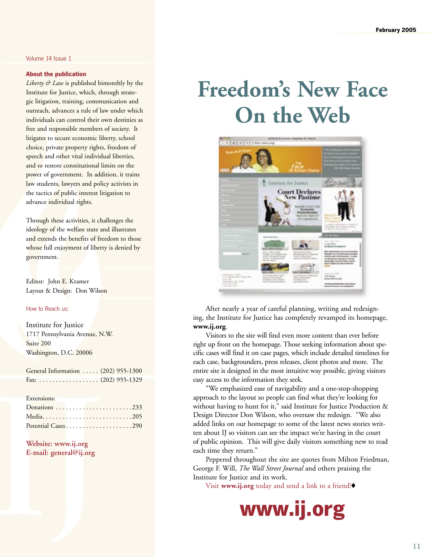#### Volume 14 Issue 1

#### **About the publication**

*Liberty & Law* is published bimonthly by the Institute for Justice, which, through strategic litigation, training, communication and outreach, advances a rule of law under which individuals can control their own destinies as free and responsible members of society. It litigates to secure economic liberty, school choice, private property rights, freedom of speech and other vital individual liberties, and to restore constitutional limits on the power of government. In addition, it trains law students, lawyers and policy activists in the tactics of public interest litigation to advance individual rights.

Through these activities, it challenges the ideology of the welfare state and illustrates and extends the benefits of freedom to those whose full enjoyment of liberty is denied by government.

Editor: John E. Kramer Layout & Design: Don Wilson

#### How to Reach us:

Institute for Justice 1717 Pennsylvania Avenue, N.W. Suite 200 Washington, D.C. 20006

General Information . . . . . (202) 955-1300 Fax: . . . . . . . . . . . . . . . . . . (202) 955-1329

#### Extensions:

| Donations         233 |  |  |  |  |  |  |  |  |
|-----------------------|--|--|--|--|--|--|--|--|
|                       |  |  |  |  |  |  |  |  |
| Potential Cases290    |  |  |  |  |  |  |  |  |

#### **Website: www.ij.org E-mail: general@ij.org**

# **Freedom's New Face On the Web**



 After nearly a year of careful planning, writing and redesigning, the Institute for Justice has completely revamped its homepage, **www.ij.org**.

 Visitors to the site will find even more content than ever before right up front on the homepage. Those seeking information about specific cases will find it on case pages, which include detailed timelines for each case, backgrounders, press releases, client photos and more. The entire site is designed in the most intuitive way possible, giving visitors easy access to the information they seek.

 "We emphasized ease of navigability and a one-stop-shopping approach to the layout so people can find what they're looking for without having to hunt for it," said Institute for Justice Production & Design Director Don Wilson, who oversaw the redesign. "We also added links on our homepage to some of the latest news stories written about IJ so visitors can see the impact we're having in the court of public opinion. This will give daily visitors something new to read each time they return."

 Peppered throughout the site are quotes from Milton Friedman, George F. Will, *The Wall Street Journal* and others praising the Institute for Justice and its work.

Visit **www.ij.org** today and send a link to a friend!◆